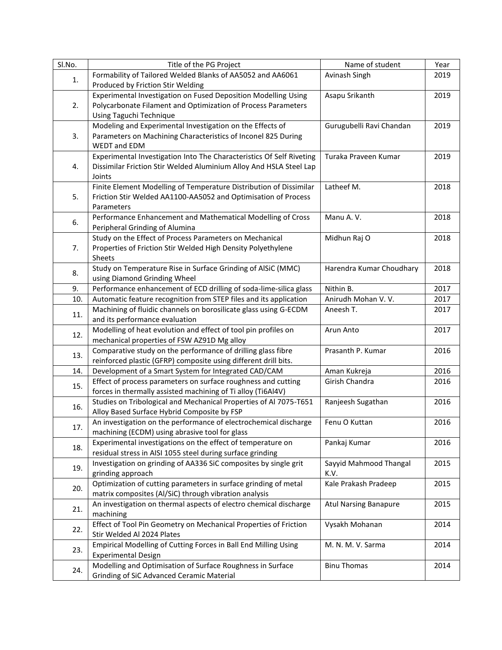| SI.No. | Title of the PG Project                                                                                       | Name of student              | Year |
|--------|---------------------------------------------------------------------------------------------------------------|------------------------------|------|
|        | Formability of Tailored Welded Blanks of AA5052 and AA6061                                                    | Avinash Singh                | 2019 |
| 1.     | Produced by Friction Stir Welding                                                                             |                              |      |
| 2.     | Experimental Investigation on Fused Deposition Modelling Using                                                | Asapu Srikanth               | 2019 |
|        | Polycarbonate Filament and Optimization of Process Parameters                                                 |                              |      |
|        | Using Taguchi Technique                                                                                       |                              |      |
| 3.     | Modeling and Experimental Investigation on the Effects of                                                     | Gurugubelli Ravi Chandan     | 2019 |
|        | Parameters on Machining Characteristics of Inconel 825 During                                                 |                              |      |
|        | WEDT and EDM                                                                                                  |                              |      |
| 4.     | Experimental Investigation Into The Characteristics Of Self Riveting                                          | Turaka Praveen Kumar         | 2019 |
|        | Dissimilar Friction Stir Welded Aluminium Alloy And HSLA Steel Lap                                            |                              |      |
|        | Joints                                                                                                        |                              |      |
|        | Finite Element Modelling of Temperature Distribution of Dissimilar                                            | Latheef M.                   | 2018 |
| 5.     | Friction Stir Welded AA1100-AA5052 and Optimisation of Process                                                |                              |      |
|        | Parameters                                                                                                    |                              |      |
| 6.     | Performance Enhancement and Mathematical Modelling of Cross                                                   | Manu A.V.                    | 2018 |
|        | Peripheral Grinding of Alumina<br>Study on the Effect of Process Parameters on Mechanical                     | Midhun Raj O                 | 2018 |
| 7.     | Properties of Friction Stir Welded High Density Polyethylene                                                  |                              |      |
|        | Sheets                                                                                                        |                              |      |
|        | Study on Temperature Rise in Surface Grinding of AlSiC (MMC)                                                  | Harendra Kumar Choudhary     | 2018 |
| 8.     | using Diamond Grinding Wheel                                                                                  |                              |      |
| 9.     | Performance enhancement of ECD drilling of soda-lime-silica glass                                             | Nithin B.                    | 2017 |
| 10.    | Automatic feature recognition from STEP files and its application                                             | Anirudh Mohan V. V.          | 2017 |
|        | Machining of fluidic channels on borosilicate glass using G-ECDM                                              | Aneesh T.                    | 2017 |
| 11.    | and its performance evaluation                                                                                |                              |      |
| 12.    | Modelling of heat evolution and effect of tool pin profiles on                                                | Arun Anto                    | 2017 |
|        | mechanical properties of FSW AZ91D Mg alloy                                                                   |                              |      |
| 13.    | Comparative study on the performance of drilling glass fibre                                                  | Prasanth P. Kumar            | 2016 |
|        | reinforced plastic (GFRP) composite using different drill bits.                                               |                              |      |
| 14.    | Development of a Smart System for Integrated CAD/CAM                                                          | Aman Kukreja                 | 2016 |
| 15.    | Effect of process parameters on surface roughness and cutting                                                 | Girish Chandra               | 2016 |
|        | forces in thermally assisted machining of Ti alloy (Ti6Al4V)                                                  |                              |      |
| 16.    | Studies on Tribological and Mechanical Properties of Al 7075-T651                                             | Ranjeesh Sugathan            | 2016 |
|        | Alloy Based Surface Hybrid Composite by FSP                                                                   |                              |      |
| 17.    | An investigation on the performance of electrochemical discharge                                              | Fenu O Kuttan                | 2016 |
|        | machining (ECDM) using abrasive tool for glass<br>Experimental investigations on the effect of temperature on |                              |      |
| 18.    | residual stress in AISI 1055 steel during surface grinding                                                    | Pankaj Kumar                 | 2016 |
|        | Investigation on grinding of AA336 SiC composites by single grit                                              | Sayyid Mahmood Thangal       | 2015 |
| 19.    | grinding approach                                                                                             | K.V.                         |      |
|        | Optimization of cutting parameters in surface grinding of metal                                               | Kale Prakash Pradeep         | 2015 |
| 20.    | matrix composites (Al/SiC) through vibration analysis                                                         |                              |      |
|        | An investigation on thermal aspects of electro chemical discharge                                             | <b>Atul Narsing Banapure</b> | 2015 |
| 21.    | machining                                                                                                     |                              |      |
| 22.    | Effect of Tool Pin Geometry on Mechanical Properties of Friction                                              | Vysakh Mohanan               | 2014 |
|        | Stir Welded Al 2024 Plates                                                                                    |                              |      |
| 23.    | Empirical Modelling of Cutting Forces in Ball End Milling Using                                               | M. N. M. V. Sarma            | 2014 |
|        | <b>Experimental Design</b>                                                                                    |                              |      |
| 24.    | Modelling and Optimisation of Surface Roughness in Surface                                                    | <b>Binu Thomas</b>           | 2014 |
|        | Grinding of SiC Advanced Ceramic Material                                                                     |                              |      |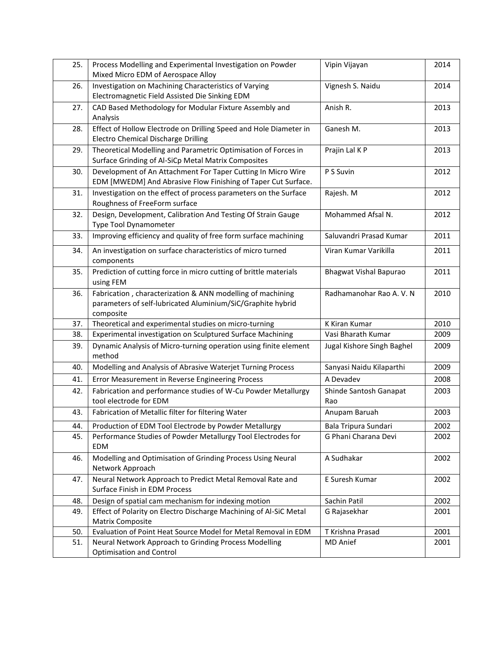| 25. | Process Modelling and Experimental Investigation on Powder<br>Mixed Micro EDM of Aerospace Alloy                                       | Vipin Vijayan                 | 2014 |
|-----|----------------------------------------------------------------------------------------------------------------------------------------|-------------------------------|------|
| 26. | Investigation on Machining Characteristics of Varying<br>Electromagnetic Field Assisted Die Sinking EDM                                | Vignesh S. Naidu              | 2014 |
| 27. | CAD Based Methodology for Modular Fixture Assembly and<br>Analysis                                                                     | Anish R.                      | 2013 |
| 28. | Effect of Hollow Electrode on Drilling Speed and Hole Diameter in<br>Electro Chemical Discharge Drilling                               | Ganesh M.                     | 2013 |
| 29. | Theoretical Modelling and Parametric Optimisation of Forces in<br>Surface Grinding of Al-SiCp Metal Matrix Composites                  | Prajin Lal K P                | 2013 |
| 30. | Development of An Attachment For Taper Cutting In Micro Wire<br>EDM [MWEDM] And Abrasive Flow Finishing of Taper Cut Surface.          | P S Suvin                     | 2012 |
| 31. | Investigation on the effect of process parameters on the Surface<br>Roughness of FreeForm surface                                      | Rajesh. M                     | 2012 |
| 32. | Design, Development, Calibration And Testing Of Strain Gauge<br>Type Tool Dynamometer                                                  | Mohammed Afsal N.             | 2012 |
| 33. | Improving efficiency and quality of free form surface machining                                                                        | Saluvandri Prasad Kumar       | 2011 |
| 34. | An investigation on surface characteristics of micro turned<br>components                                                              | Viran Kumar Varikilla         | 2011 |
| 35. | Prediction of cutting force in micro cutting of brittle materials<br>using FEM                                                         | Bhagwat Vishal Bapurao        | 2011 |
| 36. | Fabrication, characterization & ANN modelling of machining<br>parameters of self-lubricated Aluminium/SiC/Graphite hybrid<br>composite | Radhamanohar Rao A. V. N      | 2010 |
| 37. | Theoretical and experimental studies on micro-turning                                                                                  | K Kiran Kumar                 | 2010 |
| 38. | Experimental investigation on Sculptured Surface Machining                                                                             | Vasi Bharath Kumar            | 2009 |
| 39. | Dynamic Analysis of Micro-turning operation using finite element<br>method                                                             | Jugal Kishore Singh Baghel    | 2009 |
| 40. | Modelling and Analysis of Abrasive Waterjet Turning Process                                                                            | Sanyasi Naidu Kilaparthi      | 2009 |
| 41. | Error Measurement in Reverse Engineering Process                                                                                       | A Devadev                     | 2008 |
| 42. | Fabrication and performance studies of W-Cu Powder Metallurgy<br>tool electrode for EDM                                                | Shinde Santosh Ganapat<br>Rao | 2003 |
| 43. | Fabrication of Metallic filter for filtering Water                                                                                     | Anupam Baruah                 | 2003 |
| 44. | Production of EDM Tool Electrode by Powder Metallurgy                                                                                  | Bala Tripura Sundari          | 2002 |
| 45. | Performance Studies of Powder Metallurgy Tool Electrodes for<br><b>EDM</b>                                                             | G Phani Charana Devi          | 2002 |
| 46. | Modelling and Optimisation of Grinding Process Using Neural<br>Network Approach                                                        | A Sudhakar                    | 2002 |
| 47. | Neural Network Approach to Predict Metal Removal Rate and<br>Surface Finish in EDM Process                                             | E Suresh Kumar                | 2002 |
| 48. | Design of spatial cam mechanism for indexing motion                                                                                    | Sachin Patil                  | 2002 |
| 49. | Effect of Polarity on Electro Discharge Machining of Al-SiC Metal                                                                      | G Rajasekhar                  | 2001 |
|     | <b>Matrix Composite</b>                                                                                                                |                               |      |
| 50. | Evaluation of Point Heat Source Model for Metal Removal in EDM                                                                         | T Krishna Prasad              | 2001 |
| 51. | Neural Network Approach to Grinding Process Modelling<br>Optimisation and Control                                                      | MD Anief                      | 2001 |